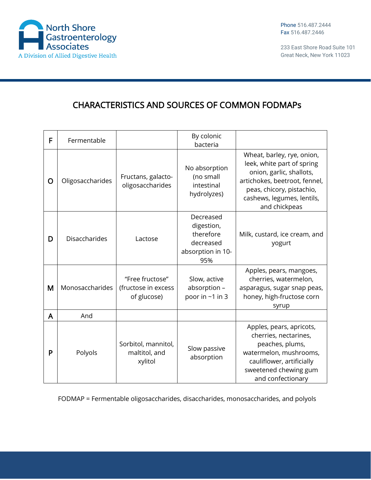

233 East Shore Road Suite 101 Great Neck, New York 11023

## CHARACTERISTICS AND SOURCES OF COMMON FODMAPs

| F | Fermentable          |                                                       | By colonic<br>bacteria                                                        |                                                                                                                                                                                                   |
|---|----------------------|-------------------------------------------------------|-------------------------------------------------------------------------------|---------------------------------------------------------------------------------------------------------------------------------------------------------------------------------------------------|
| O | Oligosaccharides     | Fructans, galacto-<br>oligosaccharides                | No absorption<br>(no small<br>intestinal<br>hydrolyzes)                       | Wheat, barley, rye, onion,<br>leek, white part of spring<br>onion, garlic, shallots,<br>artichokes, beetroot, fennel,<br>peas, chicory, pistachio,<br>cashews, legumes, lentils,<br>and chickpeas |
| D | <b>Disaccharides</b> | Lactose                                               | Decreased<br>digestion,<br>therefore<br>decreased<br>absorption in 10-<br>95% | Milk, custard, ice cream, and<br>yogurt                                                                                                                                                           |
| M | Monosaccharides      | "Free fructose"<br>(fructose in excess<br>of glucose) | Slow, active<br>absorption -<br>poor in ~1 in 3                               | Apples, pears, mangoes,<br>cherries, watermelon,<br>asparagus, sugar snap peas,<br>honey, high-fructose corn<br>syrup                                                                             |
| A | And                  |                                                       |                                                                               |                                                                                                                                                                                                   |
| P | Polyols              | Sorbitol, mannitol,<br>maltitol, and<br>xylitol       | Slow passive<br>absorption                                                    | Apples, pears, apricots,<br>cherries, nectarines,<br>peaches, plums,<br>watermelon, mushrooms,<br>cauliflower, artificially<br>sweetened chewing gum<br>and confectionary                         |

FODMAP = Fermentable oligosaccharides, disaccharides, monosaccharides, and polyols